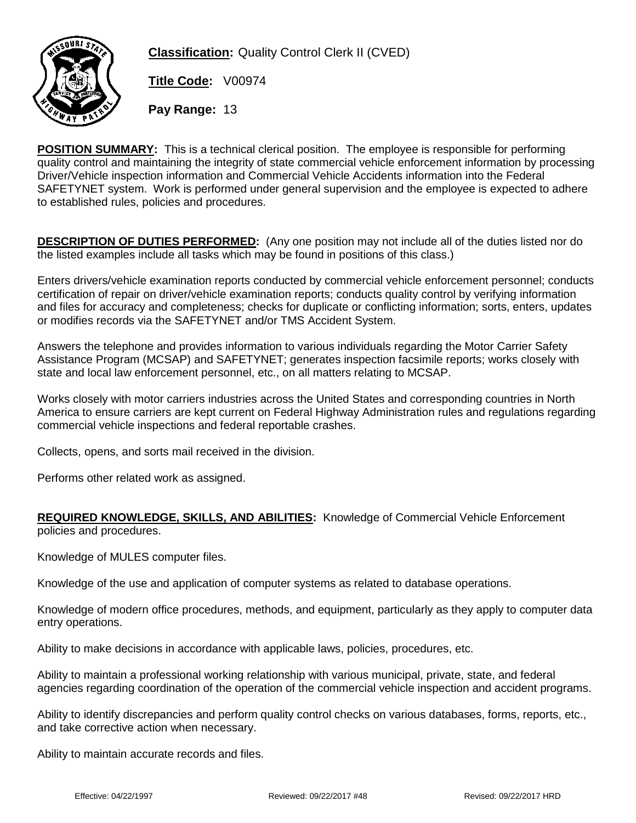

**Classification:** Quality Control Clerk II (CVED)

**Title Code:** V00974

**Pay Range:** 13

**POSITION SUMMARY:** This is a technical clerical position. The employee is responsible for performing quality control and maintaining the integrity of state commercial vehicle enforcement information by processing Driver/Vehicle inspection information and Commercial Vehicle Accidents information into the Federal SAFETYNET system. Work is performed under general supervision and the employee is expected to adhere to established rules, policies and procedures.

**DESCRIPTION OF DUTIES PERFORMED:** (Any one position may not include all of the duties listed nor do the listed examples include all tasks which may be found in positions of this class.)

Enters drivers/vehicle examination reports conducted by commercial vehicle enforcement personnel; conducts certification of repair on driver/vehicle examination reports; conducts quality control by verifying information and files for accuracy and completeness; checks for duplicate or conflicting information; sorts, enters, updates or modifies records via the SAFETYNET and/or TMS Accident System.

Answers the telephone and provides information to various individuals regarding the Motor Carrier Safety Assistance Program (MCSAP) and SAFETYNET; generates inspection facsimile reports; works closely with state and local law enforcement personnel, etc., on all matters relating to MCSAP.

Works closely with motor carriers industries across the United States and corresponding countries in North America to ensure carriers are kept current on Federal Highway Administration rules and regulations regarding commercial vehicle inspections and federal reportable crashes.

Collects, opens, and sorts mail received in the division.

Performs other related work as assigned.

## **REQUIRED KNOWLEDGE, SKILLS, AND ABILITIES:** Knowledge of Commercial Vehicle Enforcement policies and procedures.

Knowledge of MULES computer files.

Knowledge of the use and application of computer systems as related to database operations.

Knowledge of modern office procedures, methods, and equipment, particularly as they apply to computer data entry operations.

Ability to make decisions in accordance with applicable laws, policies, procedures, etc.

Ability to maintain a professional working relationship with various municipal, private, state, and federal agencies regarding coordination of the operation of the commercial vehicle inspection and accident programs.

Ability to identify discrepancies and perform quality control checks on various databases, forms, reports, etc., and take corrective action when necessary.

Ability to maintain accurate records and files.